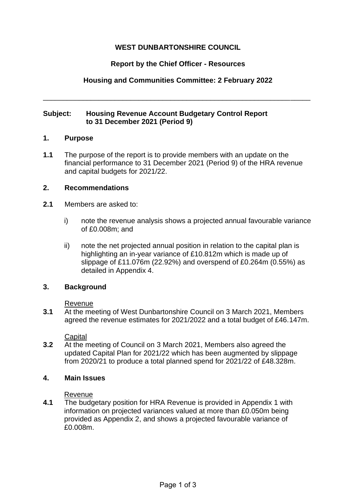# **WEST DUNBARTONSHIRE COUNCIL**

# **Report by the Chief Officer - Resources**

# **Housing and Communities Committee: 2 February 2022**

\_\_\_\_\_\_\_\_\_\_\_\_\_\_\_\_\_\_\_\_\_\_\_\_\_\_\_\_\_\_\_\_\_\_\_\_\_\_\_\_\_\_\_\_\_\_\_\_\_\_\_\_\_\_\_\_\_\_\_\_\_\_\_\_\_\_\_

## **Subject: Housing Revenue Account Budgetary Control Report to 31 December 2021 (Period 9)**

### **1. Purpose**

**1.1** The purpose of the report is to provide members with an update on the financial performance to 31 December 2021 (Period 9) of the HRA revenue and capital budgets for 2021/22.

### **2. Recommendations**

- **2.1** Members are asked to:
	- i) note the revenue analysis shows a projected annual favourable variance of £0.008m; and
	- ii) note the net projected annual position in relation to the capital plan is highlighting an in-year variance of £10.812m which is made up of slippage of £11.076m (22.92%) and overspend of £0.264m (0.55%) as detailed in Appendix 4.

### **3. Background**

#### Revenue

**3.1** At the meeting of West Dunbartonshire Council on 3 March 2021, Members agreed the revenue estimates for 2021/2022 and a total budget of £46.147m.

### **Capital**

**3.2** At the meeting of Council on 3 March 2021, Members also agreed the updated Capital Plan for 2021/22 which has been augmented by slippage from 2020/21 to produce a total planned spend for 2021/22 of £48.328m.

### **4. Main Issues**

#### Revenue

**4.1** The budgetary position for HRA Revenue is provided in Appendix 1 with information on projected variances valued at more than £0.050m being provided as Appendix 2, and shows a projected favourable variance of £0.008m.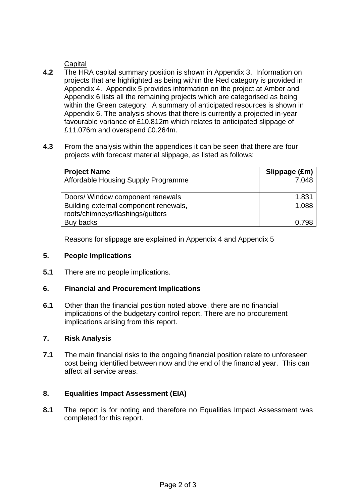# **Capital**

- **4.2** The HRA capital summary position is shown in Appendix 3. Information on projects that are highlighted as being within the Red category is provided in Appendix 4. Appendix 5 provides information on the project at Amber and Appendix 6 lists all the remaining projects which are categorised as being within the Green category. A summary of anticipated resources is shown in Appendix 6. The analysis shows that there is currently a projected in-year favourable variance of £10.812m which relates to anticipated slippage of £11.076m and overspend £0.264m.
- **4.3** From the analysis within the appendices it can be seen that there are four projects with forecast material slippage, as listed as follows:

| <b>Project Name</b>                   | Slippage (£m) |
|---------------------------------------|---------------|
| Affordable Housing Supply Programme   | 7.048         |
|                                       |               |
| Doors/ Window component renewals      | 1.831         |
| Building external component renewals, | 1.088         |
| roofs/chimneys/flashings/gutters      |               |
| Buy backs                             | 0.798         |

Reasons for slippage are explained in Appendix 4 and Appendix 5

### **5. People Implications**

**5.1** There are no people implications.

# **6. Financial and Procurement Implications**

**6.1** Other than the financial position noted above, there are no financial implications of the budgetary control report. There are no procurement implications arising from this report.

#### **7. Risk Analysis**

**7.1** The main financial risks to the ongoing financial position relate to unforeseen cost being identified between now and the end of the financial year. This can affect all service areas.

### **8. Equalities Impact Assessment (EIA)**

**8.1** The report is for noting and therefore no Equalities Impact Assessment was completed for this report.